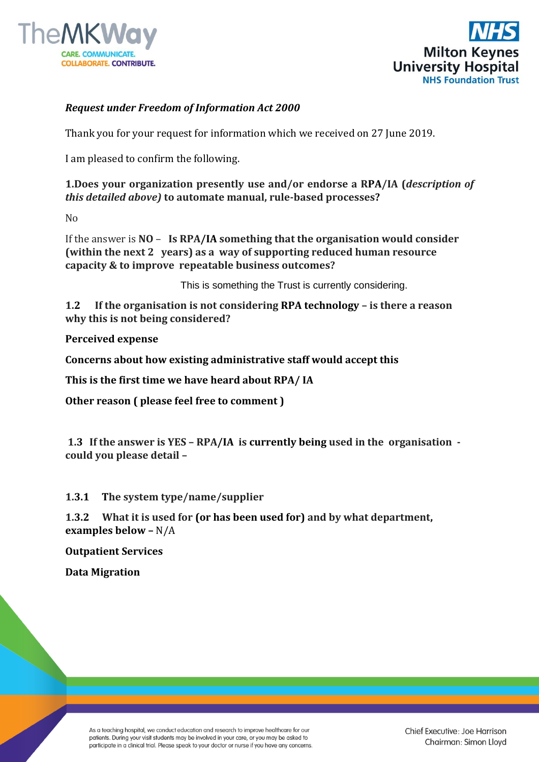



## *Request under Freedom of Information Act 2000*

Thank you for your request for information which we received on 27 June 2019.

I am pleased to confirm the following.

**1.Does your organization presently use and/or endorse a RPA/IA (***description of this detailed above)* **to automate manual, rule-based processes?** 

No

If the answer is **NO** – **Is RPA/IA something that the organisation would consider (within the next 2 years) as a way of supporting reduced human resource capacity & to improve repeatable business outcomes?**

This is something the Trust is currently considering.

**1.2 If the organisation is not considering RPA technology – is there a reason why this is not being considered?**

**Perceived expense**

**Concerns about how existing administrative staff would accept this**

**This is the first time we have heard about RPA/ IA**

**Other reason ( please feel free to comment )**

**1.3 If the answer is YES – RPA/IA is currently being used in the organisation could you please detail –**

**1.3.1 The system type/name/supplier**

**1.3.2 What it is used for (or has been used for) and by what department, examples below –** N/A

**Outpatient Services**

**Data Migration**

As a teaching hospital, we conduct education and research to improve healthcare for our patients. During your visit students may be involved in your care, or you may be asked to participate in a clinical trial. Please speak to your doctor or nurse if you have any concerns.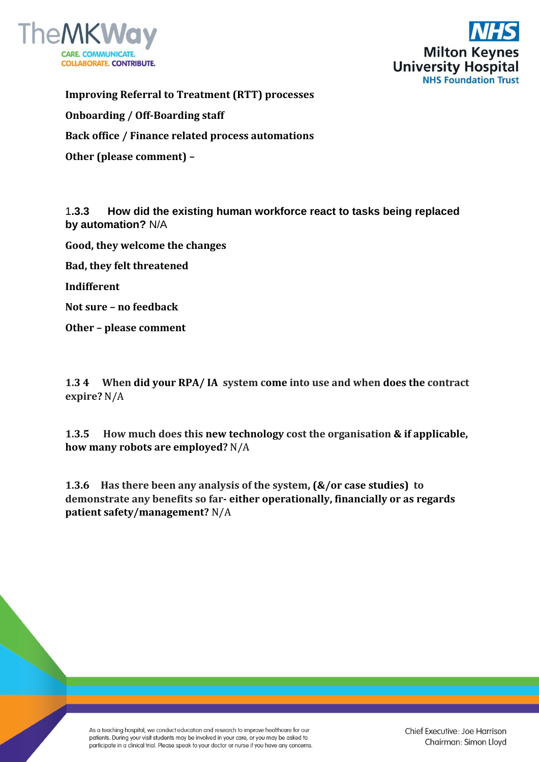



**Improving Referral to Treatment (RTT) processes Onboarding / Off-Boarding staff Back office / Finance related process automations Other (please comment) –**

1**.3.3 How did the existing human workforce react to tasks being replaced by automation?** N/A

**Good, they welcome the changes**

**Bad, they felt threatened**

**Indifferent**

**Not sure – no feedback**

**Other – please comment**

**1.3 4 When did your RPA/ IA system come into use and when does the contract expire?** N/A

**1.3.5 How much does this new technology cost the organisation & if applicable, how many robots are employed?** N/A

**1.3.6 Has there been any analysis of the system, (&/or case studies) to demonstrate any benefits so far- either operationally, financially or as regards patient safety/management?** N/A

As a teaching hospital, we conduct education and research to improve healthcare for our patients. During your visit students may be involved in your care, or you may be asked to participate in a clinical trial. Please speak to your doctor or nurse if you have any concerns.